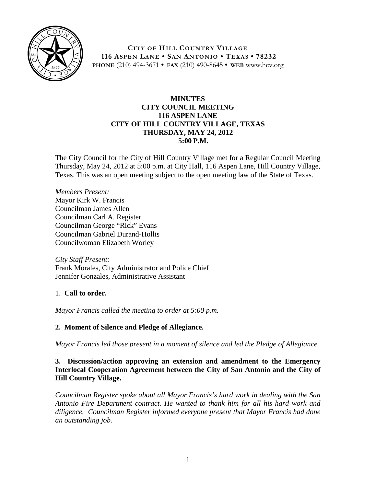

**CITY OF HILL COUNTRY VILLAGE 116 ASPEN LANE • SAN ANTONIO • TEXAS • 78232 PHONE** (210) 494-3671 **• FAX** (210) 490-8645 **• WEB** www.hcv.org

### **MINUTES CITY COUNCIL MEETING 116 ASPEN LANE CITY OF HILL COUNTRY VILLAGE, TEXAS THURSDAY, MAY 24, 2012 5:00 P.M.**

The City Council for the City of Hill Country Village met for a Regular Council Meeting Thursday, May 24, 2012 at 5:00 p.m. at City Hall, 116 Aspen Lane, Hill Country Village, Texas. This was an open meeting subject to the open meeting law of the State of Texas.

*Members Present:* Mayor Kirk W. Francis Councilman James Allen Councilman Carl A. Register Councilman George "Rick" Evans Councilman Gabriel Durand-Hollis Councilwoman Elizabeth Worley

*City Staff Present:* Frank Morales, City Administrator and Police Chief Jennifer Gonzales, Administrative Assistant

## 1. **Call to order.**

*Mayor Francis called the meeting to order at 5:00 p.m.*

## **2. Moment of Silence and Pledge of Allegiance.**

*Mayor Francis led those present in a moment of silence and led the Pledge of Allegiance.*

# **3. Discussion/action approving an extension and amendment to the Emergency Interlocal Cooperation Agreement between the City of San Antonio and the City of Hill Country Village.**

*Councilman Register spoke about all Mayor Francis's hard work in dealing with the San Antonio Fire Department contract. He wanted to thank him for all his hard work and diligence. Councilman Register informed everyone present that Mayor Francis had done an outstanding job.*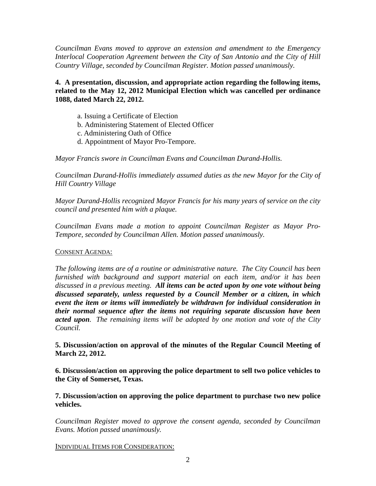*Councilman Evans moved to approve an extension and amendment to the Emergency Interlocal Cooperation Agreement between the City of San Antonio and the City of Hill Country Village, seconded by Councilman Register. Motion passed unanimously.*

**4. A presentation, discussion, and appropriate action regarding the following items, related to the May 12, 2012 Municipal Election which was cancelled per ordinance 1088, dated March 22, 2012.**

- a. Issuing a Certificate of Election
- b. Administering Statement of Elected Officer
- c. Administering Oath of Office
- d. Appointment of Mayor Pro-Tempore.

*Mayor Francis swore in Councilman Evans and Councilman Durand-Hollis.*

*Councilman Durand-Hollis immediately assumed duties as the new Mayor for the City of Hill Country Village*

*Mayor Durand-Hollis recognized Mayor Francis for his many years of service on the city council and presented him with a plaque.*

*Councilman Evans made a motion to appoint Councilman Register as Mayor Pro-Tempore, seconded by Councilman Allen. Motion passed unanimously.*

#### CONSENT AGENDA:

*The following items are of a routine or administrative nature. The City Council has been furnished with background and support material on each item, and/or it has been discussed in a previous meeting. All items can be acted upon by one vote without being discussed separately, unless requested by a Council Member or a citizen, in which event the item or items will immediately be withdrawn for individual consideration in their normal sequence after the items not requiring separate discussion have been acted upon. The remaining items will be adopted by one motion and vote of the City Council.*

**5. Discussion/action on approval of the minutes of the Regular Council Meeting of March 22, 2012.**

**6. Discussion/action on approving the police department to sell two police vehicles to the City of Somerset, Texas.**

**7. Discussion/action on approving the police department to purchase two new police vehicles.**

*Councilman Register moved to approve the consent agenda, seconded by Councilman Evans. Motion passed unanimously.*

INDIVIDUAL ITEMS FOR CONSIDERATION: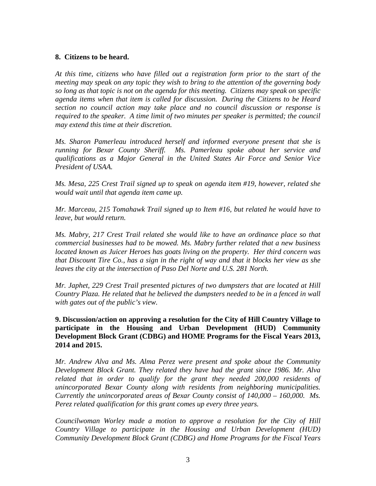#### **8. Citizens to be heard.**

*At this time, citizens who have filled out a registration form prior to the start of the meeting may speak on any topic they wish to bring to the attention of the governing body so long as that topic is not on the agenda for this meeting. Citizens may speak on specific agenda items when that item is called for discussion. During the Citizens to be Heard section no council action may take place and no council discussion or response is required to the speaker. A time limit of two minutes per speaker is permitted; the council may extend this time at their discretion.*

*Ms. Sharon Pamerleau introduced herself and informed everyone present that she is running for Bexar County Sheriff. Ms. Pamerleau spoke about her service and qualifications as a Major General in the United States Air Force and Senior Vice President of USAA.* 

*Ms. Mesa, 225 Crest Trail signed up to speak on agenda item #19, however, related she would wait until that agenda item came up.*

*Mr. Marceau, 215 Tomahawk Trail signed up to Item #16, but related he would have to leave, but would return.*

*Ms. Mabry, 217 Crest Trail related she would like to have an ordinance place so that commercial businesses had to be mowed. Ms. Mabry further related that a new business located known as Juicer Heroes has goats living on the property. Her third concern was that Discount Tire Co., has a sign in the right of way and that it blocks her view as she leaves the city at the intersection of Paso Del Norte and U.S. 281 North.*

*Mr. Japhet, 229 Crest Trail presented pictures of two dumpsters that are located at Hill Country Plaza. He related that he believed the dumpsters needed to be in a fenced in wall with gates out of the public's view.*

**9. Discussion/action on approving a resolution for the City of Hill Country Village to participate in the Housing and Urban Development (HUD) Community Development Block Grant (CDBG) and HOME Programs for the Fiscal Years 2013, 2014 and 2015.**

*Mr. Andrew Alva and Ms. Alma Perez were present and spoke about the Community Development Block Grant. They related they have had the grant since 1986. Mr. Alva*  related that in order to qualify for the grant they needed 200,000 residents of *unincorporated Bexar County along with residents from neighboring municipalities. Currently the unincorporated areas of Bexar County consist of 140,000 – 160,000. Ms. Perez related qualification for this grant comes up every three years.*

*Councilwoman Worley made a motion to approve a resolution for the City of Hill Country Village to participate in the Housing and Urban Development (HUD) Community Development Block Grant (CDBG) and Home Programs for the Fiscal Years*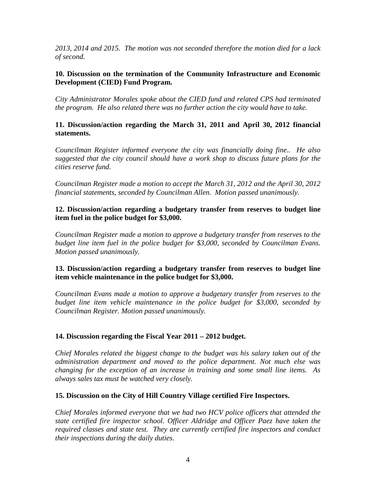*2013, 2014 and 2015. The motion was not seconded therefore the motion died for a lack of second.*

#### **10. Discussion on the termination of the Community Infrastructure and Economic Development (CIED) Fund Program.**

*City Administrator Morales spoke about the CIED fund and related CPS had terminated the program. He also related there was no further action the city would have to take.*

### **11. Discussion/action regarding the March 31, 2011 and April 30, 2012 financial statements.**

*Councilman Register informed everyone the city was financially doing fine.. He also suggested that the city council should have a work shop to discuss future plans for the cities reserve fund.*

*Councilman Register made a motion to accept the March 31, 2012 and the April 30, 2012 financial statements, seconded by Councilman Allen. Motion passed unanimously.*

### **12. Discussion/action regarding a budgetary transfer from reserves to budget line item fuel in the police budget for \$3,000.**

*Councilman Register made a motion to approve a budgetary transfer from reserves to the budget line item fuel in the police budget for \$3,000, seconded by Councilman Evans. Motion passed unanimously.*

### **13. Discussion/action regarding a budgetary transfer from reserves to budget line item vehicle maintenance in the police budget for \$3,000.**

*Councilman Evans made a motion to approve a budgetary transfer from reserves to the budget line item vehicle maintenance in the police budget for \$3,000, seconded by Councilman Register. Motion passed unanimously.*

## **14. Discussion regarding the Fiscal Year 2011 – 2012 budget.**

*Chief Morales related the biggest change to the budget was his salary taken out of the administration department and moved to the police department. Not much else was changing for the exception of an increase in training and some small line items. As always sales tax must be watched very closely.*

#### **15. Discussion on the City of Hill Country Village certified Fire Inspectors.**

*Chief Morales informed everyone that we had two HCV police officers that attended the state certified fire inspector school. Officer Aldridge and Officer Paez have taken the required classes and state test. They are currently certified fire inspectors and conduct their inspections during the daily duties.*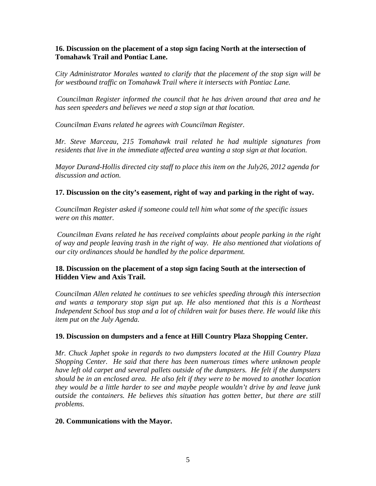### **16. Discussion on the placement of a stop sign facing North at the intersection of Tomahawk Trail and Pontiac Lane.**

*City Administrator Morales wanted to clarify that the placement of the stop sign will be for westbound traffic on Tomahawk Trail where it intersects with Pontiac Lane.*

*Councilman Register informed the council that he has driven around that area and he has seen speeders and believes we need a stop sign at that location.*

*Councilman Evans related he agrees with Councilman Register.* 

*Mr. Steve Marceau, 215 Tomahawk trail related he had multiple signatures from residents that live in the immediate affected area wanting a stop sign at that location.*

*Mayor Durand-Hollis directed city staff to place this item on the July26, 2012 agenda for discussion and action.*

## **17. Discussion on the city's easement, right of way and parking in the right of way.**

*Councilman Register asked if someone could tell him what some of the specific issues were on this matter.*

*Councilman Evans related he has received complaints about people parking in the right of way and people leaving trash in the right of way. He also mentioned that violations of our city ordinances should be handled by the police department.*

## **18. Discussion on the placement of a stop sign facing South at the intersection of Hidden View and Axis Trail.**

*Councilman Allen related he continues to see vehicles speeding through this intersection and wants a temporary stop sign put up. He also mentioned that this is a Northeast Independent School bus stop and a lot of children wait for buses there. He would like this item put on the July Agenda.*

## **19. Discussion on dumpsters and a fence at Hill Country Plaza Shopping Center.**

*Mr. Chuck Japhet spoke in regards to two dumpsters located at the Hill Country Plaza Shopping Center. He said that there has been numerous times where unknown people have left old carpet and several pallets outside of the dumpsters. He felt if the dumpsters should be in an enclosed area. He also felt if they were to be moved to another location they would be a little harder to see and maybe people wouldn't drive by and leave junk outside the containers. He believes this situation has gotten better, but there are still problems.* 

#### **20. Communications with the Mayor.**